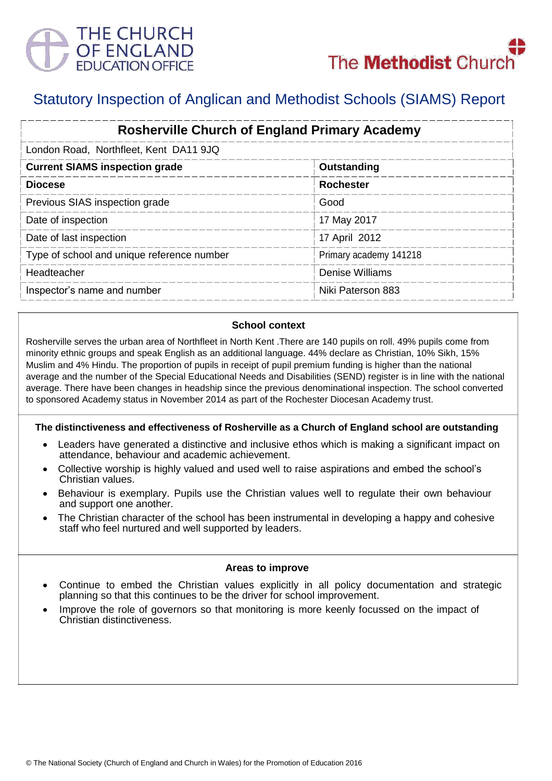

# Statutory Inspection of Anglican and Methodist Schools (SIAMS) Report

| <b>Rosherville Church of England Primary Academy</b> |                        |  |
|------------------------------------------------------|------------------------|--|
| London Road, Northfleet, Kent DA11 9JQ               |                        |  |
| <b>Current SIAMS inspection grade</b>                | Outstanding            |  |
| <b>Diocese</b>                                       | <b>Rochester</b>       |  |
| Previous SIAS inspection grade                       | Good                   |  |
| Date of inspection                                   | 17 May 2017            |  |
| Date of last inspection                              | 17 April 2012          |  |
| Type of school and unique reference number           | Primary academy 141218 |  |
| Headteacher                                          | <b>Denise Williams</b> |  |
| Inspector's name and number                          | Niki Paterson 883      |  |

## **School context**

Rosherville serves the urban area of Northfleet in North Kent .There are 140 pupils on roll. 49% pupils come from minority ethnic groups and speak English as an additional language. 44% declare as Christian, 10% Sikh, 15% Muslim and 4% Hindu. The proportion of pupils in receipt of pupil premium funding is higher than the national average and the number of the Special Educational Needs and Disabilities (SEND) register is in line with the national average. There have been changes in headship since the previous denominational inspection. The school converted to sponsored Academy status in November 2014 as part of the Rochester Diocesan Academy trust.

## **The distinctiveness and effectiveness of Rosherville as a Church of England school are outstanding**

- Leaders have generated a distinctive and inclusive ethos which is making a significant impact on attendance, behaviour and academic achievement.
- Collective worship is highly valued and used well to raise aspirations and embed the school's Christian values.
- Behaviour is exemplary. Pupils use the Christian values well to regulate their own behaviour and support one another.
- The Christian character of the school has been instrumental in developing a happy and cohesive staff who feel nurtured and well supported by leaders.

#### **Areas to improve**

- Continue to embed the Christian values explicitly in all policy documentation and strategic planning so that this continues to be the driver for school improvement.
- Improve the role of governors so that monitoring is more keenly focussed on the impact of Christian distinctiveness.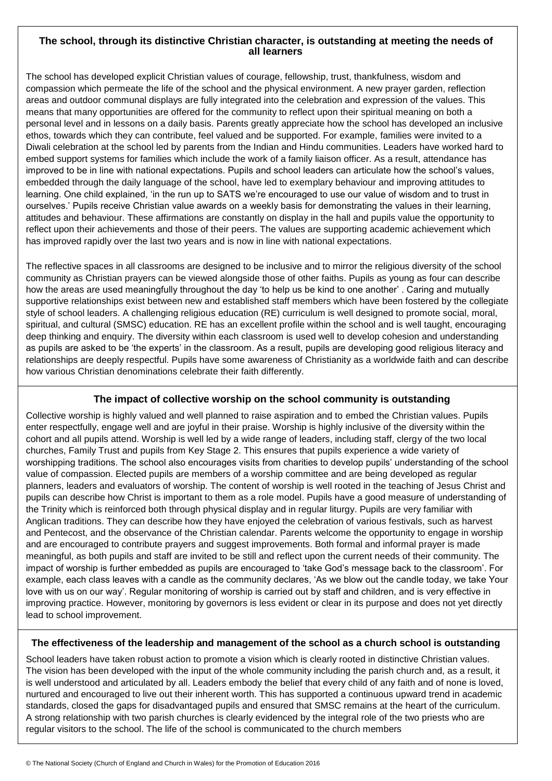### **The school, through its distinctive Christian character, is outstanding at meeting the needs of all learners**

The school has developed explicit Christian values of courage, fellowship, trust, thankfulness, wisdom and compassion which permeate the life of the school and the physical environment. A new prayer garden, reflection areas and outdoor communal displays are fully integrated into the celebration and expression of the values. This means that many opportunities are offered for the community to reflect upon their spiritual meaning on both a personal level and in lessons on a daily basis. Parents greatly appreciate how the school has developed an inclusive ethos, towards which they can contribute, feel valued and be supported. For example, families were invited to a Diwali celebration at the school led by parents from the Indian and Hindu communities. Leaders have worked hard to embed support systems for families which include the work of a family liaison officer. As a result, attendance has improved to be in line with national expectations. Pupils and school leaders can articulate how the school's values, embedded through the daily language of the school, have led to exemplary behaviour and improving attitudes to learning. One child explained, 'in the run up to SATS we're encouraged to use our value of wisdom and to trust in ourselves.' Pupils receive Christian value awards on a weekly basis for demonstrating the values in their learning, attitudes and behaviour. These affirmations are constantly on display in the hall and pupils value the opportunity to reflect upon their achievements and those of their peers. The values are supporting academic achievement which has improved rapidly over the last two years and is now in line with national expectations.

The reflective spaces in all classrooms are designed to be inclusive and to mirror the religious diversity of the school community as Christian prayers can be viewed alongside those of other faiths. Pupils as young as four can describe how the areas are used meaningfully throughout the day 'to help us be kind to one another' . Caring and mutually supportive relationships exist between new and established staff members which have been fostered by the collegiate style of school leaders. A challenging religious education (RE) curriculum is well designed to promote social, moral, spiritual, and cultural (SMSC) education. RE has an excellent profile within the school and is well taught, encouraging deep thinking and enquiry. The diversity within each classroom is used well to develop cohesion and understanding as pupils are asked to be 'the experts' in the classroom. As a result, pupils are developing good religious literacy and relationships are deeply respectful. Pupils have some awareness of Christianity as a worldwide faith and can describe how various Christian denominations celebrate their faith differently.

## **The impact of collective worship on the school community is outstanding**

Collective worship is highly valued and well planned to raise aspiration and to embed the Christian values. Pupils enter respectfully, engage well and are joyful in their praise. Worship is highly inclusive of the diversity within the cohort and all pupils attend. Worship is well led by a wide range of leaders, including staff, clergy of the two local churches, Family Trust and pupils from Key Stage 2. This ensures that pupils experience a wide variety of worshipping traditions. The school also encourages visits from charities to develop pupils' understanding of the school value of compassion. Elected pupils are members of a worship committee and are being developed as regular planners, leaders and evaluators of worship. The content of worship is well rooted in the teaching of Jesus Christ and pupils can describe how Christ is important to them as a role model. Pupils have a good measure of understanding of the Trinity which is reinforced both through physical display and in regular liturgy. Pupils are very familiar with Anglican traditions. They can describe how they have enjoyed the celebration of various festivals, such as harvest and Pentecost, and the observance of the Christian calendar. Parents welcome the opportunity to engage in worship and are encouraged to contribute prayers and suggest improvements. Both formal and informal prayer is made meaningful, as both pupils and staff are invited to be still and reflect upon the current needs of their community. The impact of worship is further embedded as pupils are encouraged to 'take God's message back to the classroom'. For example, each class leaves with a candle as the community declares, 'As we blow out the candle today, we take Your love with us on our way'. Regular monitoring of worship is carried out by staff and children, and is very effective in improving practice. However, monitoring by governors is less evident or clear in its purpose and does not yet directly lead to school improvement.

#### **The effectiveness of the leadership and management of the school as a church school is outstanding**

School leaders have taken robust action to promote a vision which is clearly rooted in distinctive Christian values. The vision has been developed with the input of the whole community including the parish church and, as a result, it is well understood and articulated by all. Leaders embody the belief that every child of any faith and of none is loved, nurtured and encouraged to live out their inherent worth. This has supported a continuous upward trend in academic standards, closed the gaps for disadvantaged pupils and ensured that SMSC remains at the heart of the curriculum. A strong relationship with two parish churches is clearly evidenced by the integral role of the two priests who are regular visitors to the school. The life of the school is communicated to the church members